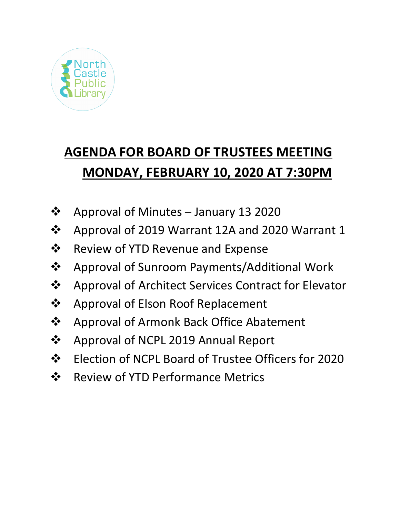

# **AGENDA FOR BOARD OF TRUSTEES MEETING MONDAY, FEBRUARY 10, 2020 AT 7:30PM**

- Approval of Minutes January 13 2020
- Approval of 2019 Warrant 12A and 2020 Warrant 1
- **❖** Review of YTD Revenue and Expense
- Approval of Sunroom Payments/Additional Work
- ❖ Approval of Architect Services Contract for Elevator
- ❖ Approval of Elson Roof Replacement
- ❖ Approval of Armonk Back Office Abatement
- ❖ Approval of NCPL 2019 Annual Report
- Election of NCPL Board of Trustee Officers for 2020
- ❖ Review of YTD Performance Metrics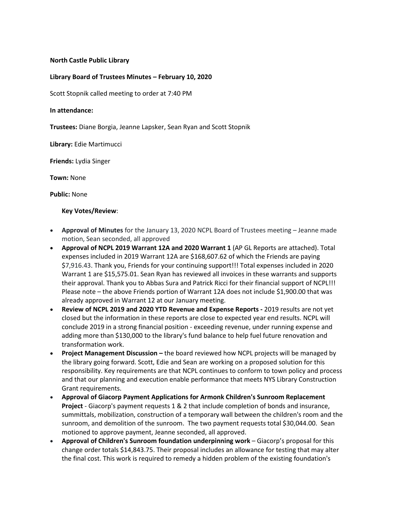### **North Castle Public Library**

## **Library Board of Trustees Minutes – February 10, 2020**

Scott Stopnik called meeting to order at 7:40 PM

#### **In attendance:**

**Trustees:** Diane Borgia, Jeanne Lapsker, Sean Ryan and Scott Stopnik

**Library:** Edie Martimucci

**Friends:** Lydia Singer

**Town:** None

**Public:** None

#### **Key Votes/Review**:

- **Approval of Minutes** for the January 13, 2020 NCPL Board of Trustees meeting Jeanne made motion, Sean seconded, all approved
- **Approval of NCPL 2019 Warrant 12A and 2020 Warrant 1** (AP GL Reports are attached). Total expenses included in 2019 Warrant 12A are \$168,607.62 of which the Friends are paying \$7,916.43. Thank you, Friends for your continuing support!!! Total expenses included in 2020 Warrant 1 are \$15,575.01. Sean Ryan has reviewed all invoices in these warrants and supports their approval. Thank you to Abbas Sura and Patrick Ricci for their financial support of NCPL!!! Please note – the above Friends portion of Warrant 12A does not include \$1,900.00 that was already approved in Warrant 12 at our January meeting.
- **Review of NCPL 2019 and 2020 YTD Revenue and Expense Reports -** 2019 results are not yet closed but the information in these reports are close to expected year end results. NCPL will conclude 2019 in a strong financial position - exceeding revenue, under running expense and adding more than \$130,000 to the library's fund balance to help fuel future renovation and transformation work.
- **Project Management Discussion –** the board reviewed how NCPL projects will be managed by the library going forward. Scott, Edie and Sean are working on a proposed solution for this responsibility. Key requirements are that NCPL continues to conform to town policy and process and that our planning and execution enable performance that meets NYS Library Construction Grant requirements.
- **Approval of Giacorp Payment Applications for Armonk Children's Sunroom Replacement Project** - Giacorp's payment requests 1 & 2 that include completion of bonds and insurance, summittals, mobilization, construction of a temporary wall between the children's room and the sunroom, and demolition of the sunroom. The two payment requests total \$30,044.00. Sean motioned to approve payment, Jeanne seconded, all approved.
- **Approval of Children's Sunroom foundation underpinning work** Giacorp's proposal for this change order totals \$14,843.75. Their proposal includes an allowance for testing that may alter the final cost. This work is required to remedy a hidden problem of the existing foundation's